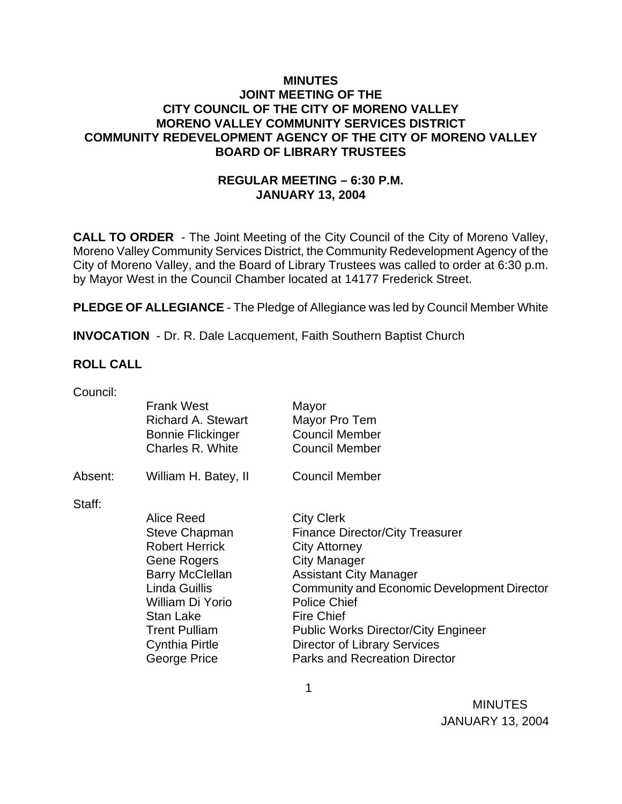### **MINUTES JOINT MEETING OF THE CITY COUNCIL OF THE CITY OF MORENO VALLEY MORENO VALLEY COMMUNITY SERVICES DISTRICT COMMUNITY REDEVELOPMENT AGENCY OF THE CITY OF MORENO VALLEY BOARD OF LIBRARY TRUSTEES**

### **REGULAR MEETING – 6:30 P.M. JANUARY 13, 2004**

**CALL TO ORDER** - The Joint Meeting of the City Council of the City of Moreno Valley, Moreno Valley Community Services District, the Community Redevelopment Agency of the City of Moreno Valley, and the Board of Library Trustees was called to order at 6:30 p.m. by Mayor West in the Council Chamber located at 14177 Frederick Street.

**PLEDGE OF ALLEGIANCE** - The Pledge of Allegiance was led by Council Member White

**INVOCATION** - Dr. R. Dale Lacquement, Faith Southern Baptist Church

 $\sim$  1

### **ROLL CALL**

| Council: |                           |                                             |
|----------|---------------------------|---------------------------------------------|
|          | <b>Frank West</b>         | Mayor                                       |
|          | <b>Richard A. Stewart</b> | Mayor Pro Tem                               |
|          | <b>Bonnie Flickinger</b>  | <b>Council Member</b>                       |
|          | Charles R. White          | <b>Council Member</b>                       |
|          |                           |                                             |
| Absent:  | William H. Batey, II      | <b>Council Member</b>                       |
|          |                           |                                             |
| Staff:   |                           |                                             |
|          | Alice Reed                | <b>City Clerk</b>                           |
|          | <b>Steve Chapman</b>      | <b>Finance Director/City Treasurer</b>      |
|          | <b>Robert Herrick</b>     | City Attorney                               |
|          | <b>Gene Rogers</b>        | <b>City Manager</b>                         |
|          | <b>Barry McClellan</b>    | <b>Assistant City Manager</b>               |
|          | Linda Guillis             | Community and Economic Development Director |
|          | William Di Yorio          | <b>Police Chief</b>                         |
|          | Stan Lake                 | <b>Fire Chief</b>                           |
|          | <b>Trent Pulliam</b>      | <b>Public Works Director/City Engineer</b>  |
|          | <b>Cynthia Pirtle</b>     | <b>Director of Library Services</b>         |
|          | George Price              | <b>Parks and Recreation Director</b>        |
|          |                           |                                             |

 MINUTES JANUARY 13, 2004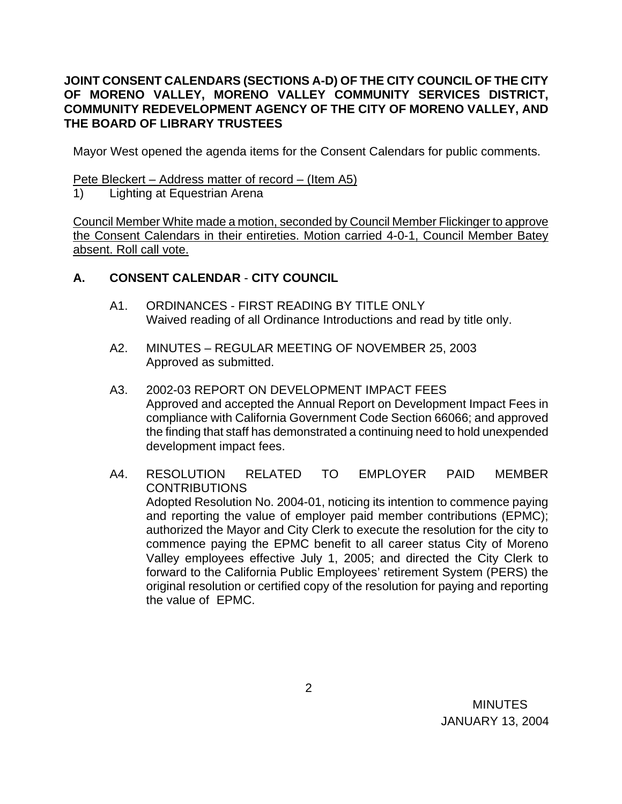## **JOINT CONSENT CALENDARS (SECTIONS A-D) OF THE CITY COUNCIL OF THE CITY OF MORENO VALLEY, MORENO VALLEY COMMUNITY SERVICES DISTRICT, COMMUNITY REDEVELOPMENT AGENCY OF THE CITY OF MORENO VALLEY, AND THE BOARD OF LIBRARY TRUSTEES**

Mayor West opened the agenda items for the Consent Calendars for public comments.

Pete Bleckert – Address matter of record – (Item A5)

1) Lighting at Equestrian Arena

Council Member White made a motion, seconded by Council Member Flickinger to approve the Consent Calendars in their entireties. Motion carried 4-0-1, Council Member Batey absent. Roll call vote.

## **A. CONSENT CALENDAR** - **CITY COUNCIL**

- A1. ORDINANCES FIRST READING BY TITLE ONLY Waived reading of all Ordinance Introductions and read by title only.
- A2. MINUTES REGULAR MEETING OF NOVEMBER 25, 2003 Approved as submitted.
- A3. 2002-03 REPORT ON DEVELOPMENT IMPACT FEES Approved and accepted the Annual Report on Development Impact Fees in compliance with California Government Code Section 66066; and approved the finding that staff has demonstrated a continuing need to hold unexpended development impact fees.
- A4. RESOLUTION RELATED TO EMPLOYER PAID MEMBER **CONTRIBUTIONS**  Adopted Resolution No. 2004-01, noticing its intention to commence paying and reporting the value of employer paid member contributions (EPMC); authorized the Mayor and City Clerk to execute the resolution for the city to commence paying the EPMC benefit to all career status City of Moreno Valley employees effective July 1, 2005; and directed the City Clerk to forward to the California Public Employees' retirement System (PERS) the original resolution or certified copy of the resolution for paying and reporting the value of EPMC.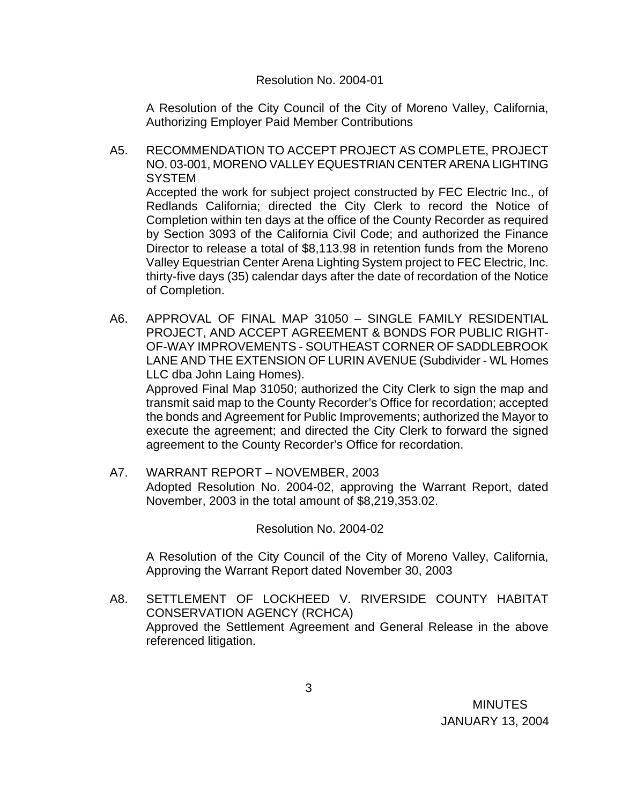#### Resolution No. 2004-01

 A Resolution of the City Council of the City of Moreno Valley, California, Authorizing Employer Paid Member Contributions

- A5. RECOMMENDATION TO ACCEPT PROJECT AS COMPLETE, PROJECT NO. 03-001, MORENO VALLEY EQUESTRIAN CENTER ARENA LIGHTING **SYSTEM** Accepted the work for subject project constructed by FEC Electric Inc., of Redlands California; directed the City Clerk to record the Notice of Completion within ten days at the office of the County Recorder as required by Section 3093 of the California Civil Code; and authorized the Finance Director to release a total of \$8,113.98 in retention funds from the Moreno Valley Equestrian Center Arena Lighting System project to FEC Electric, Inc. thirty-five days (35) calendar days after the date of recordation of the Notice of Completion.
- A6. APPROVAL OF FINAL MAP 31050 SINGLE FAMILY RESIDENTIAL PROJECT, AND ACCEPT AGREEMENT & BONDS FOR PUBLIC RIGHT-OF-WAY IMPROVEMENTS - SOUTHEAST CORNER OF SADDLEBROOK LANE AND THE EXTENSION OF LURIN AVENUE (Subdivider - WL Homes LLC dba John Laing Homes).

 Approved Final Map 31050; authorized the City Clerk to sign the map and transmit said map to the County Recorder's Office for recordation; accepted the bonds and Agreement for Public Improvements; authorized the Mayor to execute the agreement; and directed the City Clerk to forward the signed agreement to the County Recorder's Office for recordation.

A7. WARRANT REPORT – NOVEMBER, 2003 Adopted Resolution No. 2004-02, approving the Warrant Report, dated November, 2003 in the total amount of \$8,219,353.02.

Resolution No. 2004-02

 A Resolution of the City Council of the City of Moreno Valley, California, Approving the Warrant Report dated November 30, 2003

A8. SETTLEMENT OF LOCKHEED V. RIVERSIDE COUNTY HABITAT CONSERVATION AGENCY (RCHCA) Approved the Settlement Agreement and General Release in the above referenced litigation.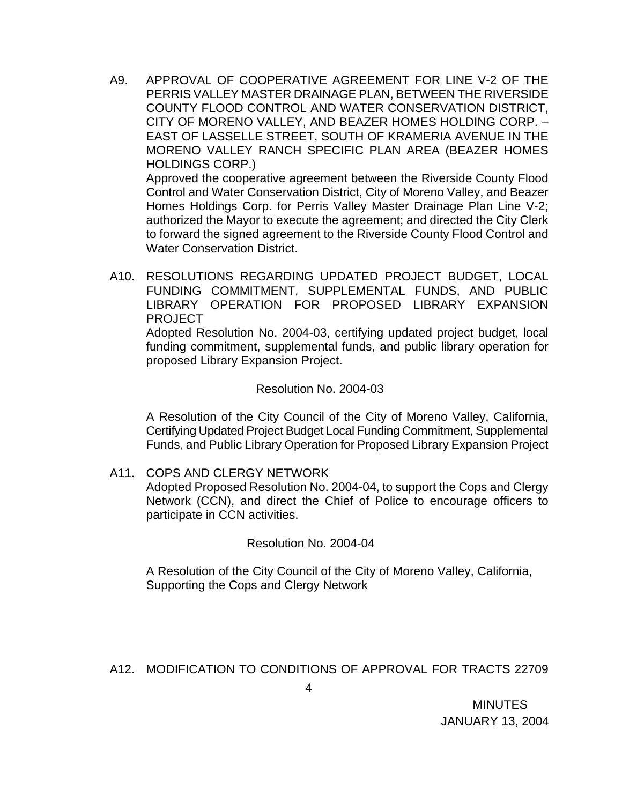A9. APPROVAL OF COOPERATIVE AGREEMENT FOR LINE V-2 OF THE PERRIS VALLEY MASTER DRAINAGE PLAN, BETWEEN THE RIVERSIDE COUNTY FLOOD CONTROL AND WATER CONSERVATION DISTRICT, CITY OF MORENO VALLEY, AND BEAZER HOMES HOLDING CORP. – EAST OF LASSELLE STREET, SOUTH OF KRAMERIA AVENUE IN THE MORENO VALLEY RANCH SPECIFIC PLAN AREA (BEAZER HOMES HOLDINGS CORP.)

 Approved the cooperative agreement between the Riverside County Flood Control and Water Conservation District, City of Moreno Valley, and Beazer Homes Holdings Corp. for Perris Valley Master Drainage Plan Line V-2; authorized the Mayor to execute the agreement; and directed the City Clerk to forward the signed agreement to the Riverside County Flood Control and Water Conservation District.

A10. RESOLUTIONS REGARDING UPDATED PROJECT BUDGET, LOCAL FUNDING COMMITMENT, SUPPLEMENTAL FUNDS, AND PUBLIC LIBRARY OPERATION FOR PROPOSED LIBRARY EXPANSION PROJECT

 Adopted Resolution No. 2004-03, certifying updated project budget, local funding commitment, supplemental funds, and public library operation for proposed Library Expansion Project.

#### Resolution No. 2004-03

A Resolution of the City Council of the City of Moreno Valley, California, Certifying Updated Project Budget Local Funding Commitment, Supplemental Funds, and Public Library Operation for Proposed Library Expansion Project

### A11. COPS AND CLERGY NETWORK

 Adopted Proposed Resolution No. 2004-04, to support the Cops and Clergy Network (CCN), and direct the Chief of Police to encourage officers to participate in CCN activities.

### Resolution No. 2004-04

 A Resolution of the City Council of the City of Moreno Valley, California, Supporting the Cops and Clergy Network

## A12. MODIFICATION TO CONDITIONS OF APPROVAL FOR TRACTS 22709

**MINUTES** JANUARY 13, 2004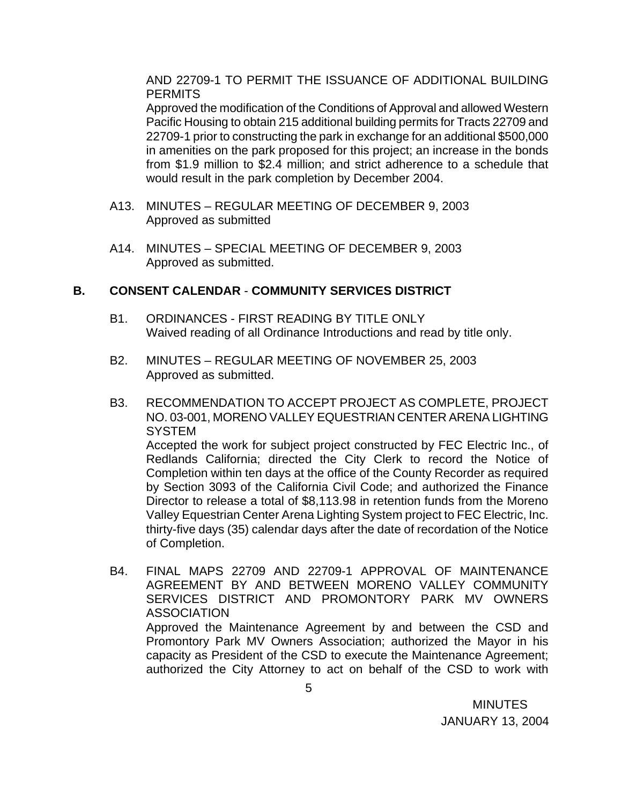AND 22709-1 TO PERMIT THE ISSUANCE OF ADDITIONAL BUILDING **PERMITS** 

 Approved the modification of the Conditions of Approval and allowed Western Pacific Housing to obtain 215 additional building permits for Tracts 22709 and 22709-1 prior to constructing the park in exchange for an additional \$500,000 in amenities on the park proposed for this project; an increase in the bonds from \$1.9 million to \$2.4 million; and strict adherence to a schedule that would result in the park completion by December 2004.

- A13. MINUTES REGULAR MEETING OF DECEMBER 9, 2003 Approved as submitted
- A14. MINUTES SPECIAL MEETING OF DECEMBER 9, 2003 Approved as submitted.

## **B. CONSENT CALENDAR** - **COMMUNITY SERVICES DISTRICT**

- B1. ORDINANCES FIRST READING BY TITLE ONLY Waived reading of all Ordinance Introductions and read by title only.
- B2. MINUTES REGULAR MEETING OF NOVEMBER 25, 2003 Approved as submitted.
- B3. RECOMMENDATION TO ACCEPT PROJECT AS COMPLETE, PROJECT NO. 03-001, MORENO VALLEY EQUESTRIAN CENTER ARENA LIGHTING **SYSTEM** Accepted the work for subject project constructed by FEC Electric Inc., of Redlands California; directed the City Clerk to record the Notice of Completion within ten days at the office of the County Recorder as required by Section 3093 of the California Civil Code; and authorized the Finance Director to release a total of \$8,113.98 in retention funds from the Moreno Valley Equestrian Center Arena Lighting System project to FEC Electric, Inc. thirty-five days (35) calendar days after the date of recordation of the Notice of Completion.
- B4. FINAL MAPS 22709 AND 22709-1 APPROVAL OF MAINTENANCE AGREEMENT BY AND BETWEEN MORENO VALLEY COMMUNITY SERVICES DISTRICT AND PROMONTORY PARK MV OWNERS ASSOCIATION Approved the Maintenance Agreement by and between the CSD and Promontory Park MV Owners Association; authorized the Mayor in his capacity as President of the CSD to execute the Maintenance Agreement; authorized the City Attorney to act on behalf of the CSD to work with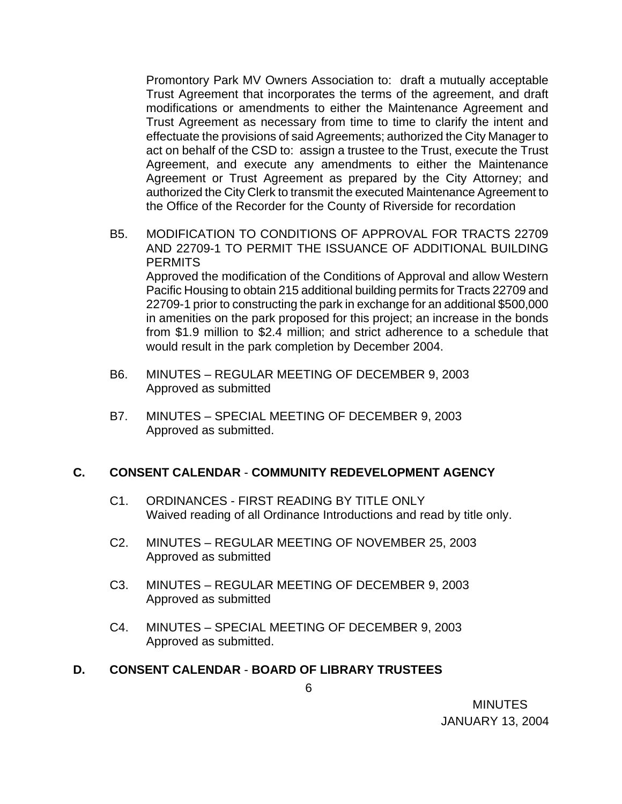Promontory Park MV Owners Association to: draft a mutually acceptable Trust Agreement that incorporates the terms of the agreement, and draft modifications or amendments to either the Maintenance Agreement and Trust Agreement as necessary from time to time to clarify the intent and effectuate the provisions of said Agreements; authorized the City Manager to act on behalf of the CSD to: assign a trustee to the Trust, execute the Trust Agreement, and execute any amendments to either the Maintenance Agreement or Trust Agreement as prepared by the City Attorney; and authorized the City Clerk to transmit the executed Maintenance Agreement to the Office of the Recorder for the County of Riverside for recordation

- B5. MODIFICATION TO CONDITIONS OF APPROVAL FOR TRACTS 22709 AND 22709-1 TO PERMIT THE ISSUANCE OF ADDITIONAL BUILDING **PERMITS**  Approved the modification of the Conditions of Approval and allow Western Pacific Housing to obtain 215 additional building permits for Tracts 22709 and 22709-1 prior to constructing the park in exchange for an additional \$500,000 in amenities on the park proposed for this project; an increase in the bonds from \$1.9 million to \$2.4 million; and strict adherence to a schedule that would result in the park completion by December 2004.
- B6. MINUTES REGULAR MEETING OF DECEMBER 9, 2003 Approved as submitted
- B7. MINUTES SPECIAL MEETING OF DECEMBER 9, 2003 Approved as submitted.

## **C. CONSENT CALENDAR** - **COMMUNITY REDEVELOPMENT AGENCY**

- C1. ORDINANCES FIRST READING BY TITLE ONLY Waived reading of all Ordinance Introductions and read by title only.
- C2. MINUTES REGULAR MEETING OF NOVEMBER 25, 2003 Approved as submitted
- C3. MINUTES REGULAR MEETING OF DECEMBER 9, 2003 Approved as submitted
- C4. MINUTES SPECIAL MEETING OF DECEMBER 9, 2003 Approved as submitted.

## **D. CONSENT CALENDAR** - **BOARD OF LIBRARY TRUSTEES**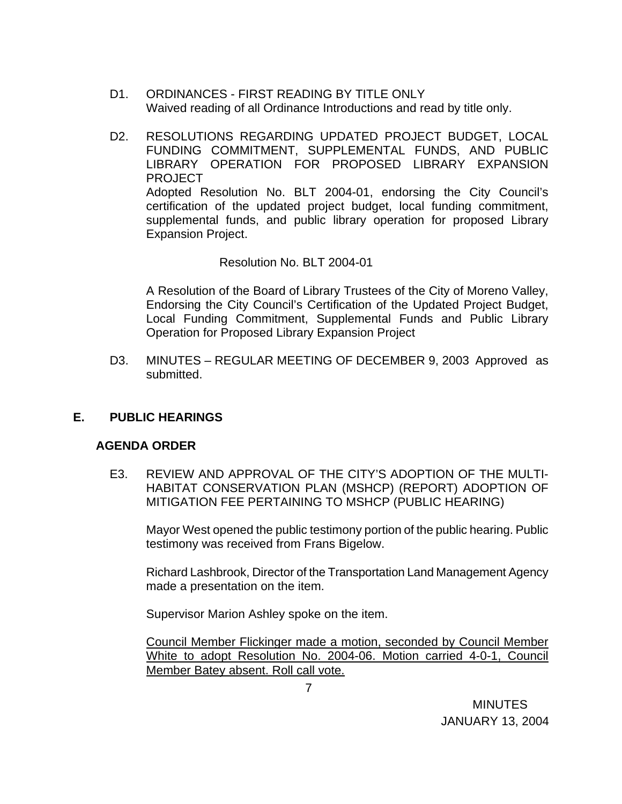- D1. ORDINANCES FIRST READING BY TITLE ONLY Waived reading of all Ordinance Introductions and read by title only.
- D2. RESOLUTIONS REGARDING UPDATED PROJECT BUDGET, LOCAL FUNDING COMMITMENT, SUPPLEMENTAL FUNDS, AND PUBLIC LIBRARY OPERATION FOR PROPOSED LIBRARY EXPANSION PROJECT Adopted Resolution No. BLT 2004-01, endorsing the City Council's certification of the updated project budget, local funding commitment, supplemental funds, and public library operation for proposed Library Expansion Project.

Resolution No. BLT 2004-01

 A Resolution of the Board of Library Trustees of the City of Moreno Valley, Endorsing the City Council's Certification of the Updated Project Budget, Local Funding Commitment, Supplemental Funds and Public Library Operation for Proposed Library Expansion Project

 D3. MINUTES – REGULAR MEETING OF DECEMBER 9, 2003 Approved as submitted.

### **E. PUBLIC HEARINGS**

### **AGENDA ORDER**

E3. REVIEW AND APPROVAL OF THE CITY'S ADOPTION OF THE MULTI-HABITAT CONSERVATION PLAN (MSHCP) (REPORT) ADOPTION OF MITIGATION FEE PERTAINING TO MSHCP (PUBLIC HEARING)

Mayor West opened the public testimony portion of the public hearing. Public testimony was received from Frans Bigelow.

Richard Lashbrook, Director of the Transportation Land Management Agency made a presentation on the item.

Supervisor Marion Ashley spoke on the item.

Council Member Flickinger made a motion, seconded by Council Member White to adopt Resolution No. 2004-06. Motion carried 4-0-1, Council Member Batey absent. Roll call vote.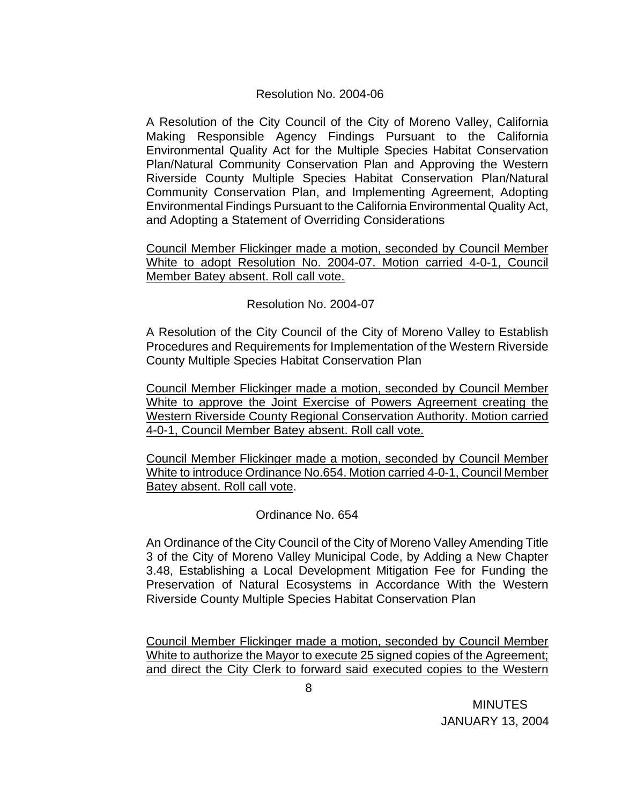### Resolution No. 2004-06

A Resolution of the City Council of the City of Moreno Valley, California Making Responsible Agency Findings Pursuant to the California Environmental Quality Act for the Multiple Species Habitat Conservation Plan/Natural Community Conservation Plan and Approving the Western Riverside County Multiple Species Habitat Conservation Plan/Natural Community Conservation Plan, and Implementing Agreement, Adopting Environmental Findings Pursuant to the California Environmental Quality Act, and Adopting a Statement of Overriding Considerations

Council Member Flickinger made a motion, seconded by Council Member White to adopt Resolution No. 2004-07. Motion carried 4-0-1, Council Member Batey absent. Roll call vote.

Resolution No. 2004-07

A Resolution of the City Council of the City of Moreno Valley to Establish Procedures and Requirements for Implementation of the Western Riverside County Multiple Species Habitat Conservation Plan

Council Member Flickinger made a motion, seconded by Council Member White to approve the Joint Exercise of Powers Agreement creating the Western Riverside County Regional Conservation Authority. Motion carried 4-0-1, Council Member Batey absent. Roll call vote.

Council Member Flickinger made a motion, seconded by Council Member White to introduce Ordinance No.654. Motion carried 4-0-1, Council Member Batey absent. Roll call vote.

Ordinance No. 654

An Ordinance of the City Council of the City of Moreno Valley Amending Title 3 of the City of Moreno Valley Municipal Code, by Adding a New Chapter 3.48, Establishing a Local Development Mitigation Fee for Funding the Preservation of Natural Ecosystems in Accordance With the Western Riverside County Multiple Species Habitat Conservation Plan

Council Member Flickinger made a motion, seconded by Council Member White to authorize the Mayor to execute 25 signed copies of the Agreement; and direct the City Clerk to forward said executed copies to the Western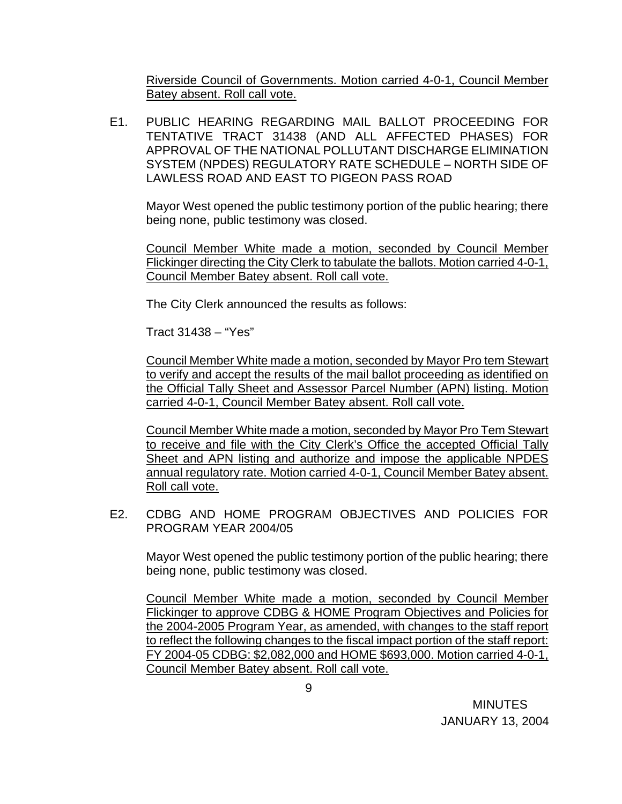Riverside Council of Governments. Motion carried 4-0-1, Council Member Batey absent. Roll call vote.

E1. PUBLIC HEARING REGARDING MAIL BALLOT PROCEEDING FOR TENTATIVE TRACT 31438 (AND ALL AFFECTED PHASES) FOR APPROVAL OF THE NATIONAL POLLUTANT DISCHARGE ELIMINATION SYSTEM (NPDES) REGULATORY RATE SCHEDULE – NORTH SIDE OF LAWLESS ROAD AND EAST TO PIGEON PASS ROAD

Mayor West opened the public testimony portion of the public hearing; there being none, public testimony was closed.

Council Member White made a motion, seconded by Council Member Flickinger directing the City Clerk to tabulate the ballots. Motion carried 4-0-1, Council Member Batey absent. Roll call vote.

The City Clerk announced the results as follows:

Tract 31438 – "Yes"

Council Member White made a motion, seconded by Mayor Pro tem Stewart to verify and accept the results of the mail ballot proceeding as identified on the Official Tally Sheet and Assessor Parcel Number (APN) listing. Motion carried 4-0-1, Council Member Batey absent. Roll call vote.

Council Member White made a motion, seconded by Mayor Pro Tem Stewart to receive and file with the City Clerk's Office the accepted Official Tally Sheet and APN listing and authorize and impose the applicable NPDES annual regulatory rate. Motion carried 4-0-1, Council Member Batey absent. Roll call vote.

E2. CDBG AND HOME PROGRAM OBJECTIVES AND POLICIES FOR PROGRAM YEAR 2004/05

Mayor West opened the public testimony portion of the public hearing; there being none, public testimony was closed.

Council Member White made a motion, seconded by Council Member Flickinger to approve CDBG & HOME Program Objectives and Policies for the 2004-2005 Program Year, as amended, with changes to the staff report to reflect the following changes to the fiscal impact portion of the staff report: FY 2004-05 CDBG: \$2,082,000 and HOME \$693,000. Motion carried 4-0-1, Council Member Batey absent. Roll call vote.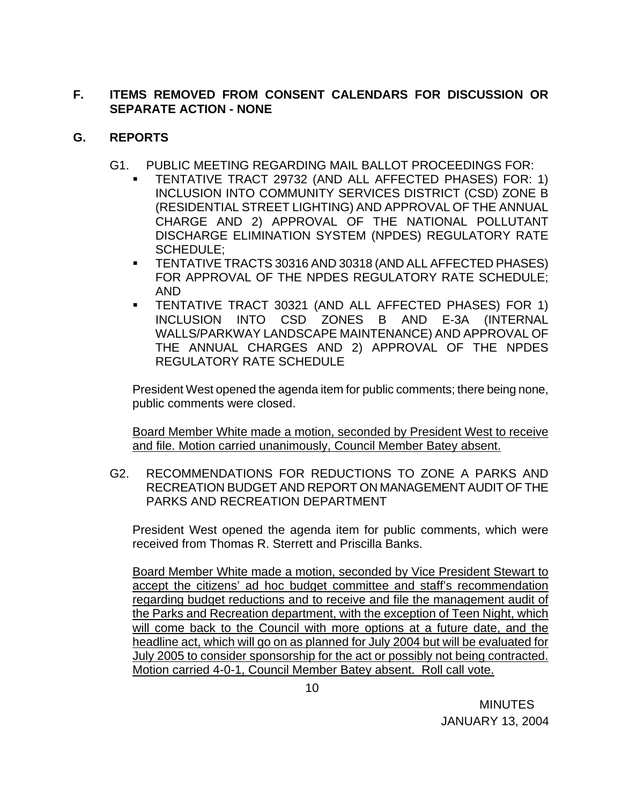## **F. ITEMS REMOVED FROM CONSENT CALENDARS FOR DISCUSSION OR SEPARATE ACTION - NONE**

## **G. REPORTS**

- G1. PUBLIC MEETING REGARDING MAIL BALLOT PROCEEDINGS FOR:
	- TENTATIVE TRACT 29732 (AND ALL AFFECTED PHASES) FOR: 1) INCLUSION INTO COMMUNITY SERVICES DISTRICT (CSD) ZONE B (RESIDENTIAL STREET LIGHTING) AND APPROVAL OF THE ANNUAL CHARGE AND 2) APPROVAL OF THE NATIONAL POLLUTANT DISCHARGE ELIMINATION SYSTEM (NPDES) REGULATORY RATE SCHEDULE;
	- TENTATIVE TRACTS 30316 AND 30318 (AND ALL AFFECTED PHASES) FOR APPROVAL OF THE NPDES REGULATORY RATE SCHEDULE; AND
	- TENTATIVE TRACT 30321 (AND ALL AFFECTED PHASES) FOR 1) INCLUSION INTO CSD ZONES B AND E-3A (INTERNAL WALLS/PARKWAY LANDSCAPE MAINTENANCE) AND APPROVAL OF THE ANNUAL CHARGES AND 2) APPROVAL OF THE NPDES REGULATORY RATE SCHEDULE

President West opened the agenda item for public comments; there being none, public comments were closed.

Board Member White made a motion, seconded by President West to receive and file. Motion carried unanimously, Council Member Batey absent.

 G2. RECOMMENDATIONS FOR REDUCTIONS TO ZONE A PARKS AND RECREATION BUDGET AND REPORT ON MANAGEMENT AUDIT OF THE PARKS AND RECREATION DEPARTMENT

President West opened the agenda item for public comments, which were received from Thomas R. Sterrett and Priscilla Banks.

Board Member White made a motion, seconded by Vice President Stewart to accept the citizens' ad hoc budget committee and staff's recommendation regarding budget reductions and to receive and file the management audit of the Parks and Recreation department, with the exception of Teen Night, which will come back to the Council with more options at a future date, and the headline act, which will go on as planned for July 2004 but will be evaluated for July 2005 to consider sponsorship for the act or possibly not being contracted. Motion carried 4-0-1, Council Member Batey absent. Roll call vote.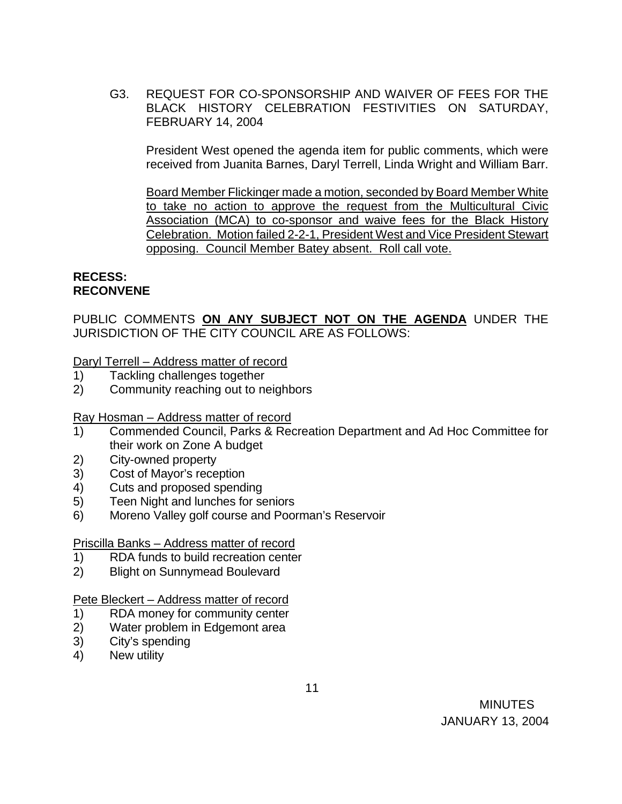G3. REQUEST FOR CO-SPONSORSHIP AND WAIVER OF FEES FOR THE BLACK HISTORY CELEBRATION FESTIVITIES ON SATURDAY, FEBRUARY 14, 2004

 President West opened the agenda item for public comments, which were received from Juanita Barnes, Daryl Terrell, Linda Wright and William Barr.

 Board Member Flickinger made a motion, seconded by Board Member White to take no action to approve the request from the Multicultural Civic Association (MCA) to co-sponsor and waive fees for the Black History Celebration. Motion failed 2-2-1, President West and Vice President Stewart opposing. Council Member Batey absent. Roll call vote.

### **RECESS: RECONVENE**

PUBLIC COMMENTS **ON ANY SUBJECT NOT ON THE AGENDA** UNDER THE JURISDICTION OF THE CITY COUNCIL ARE AS FOLLOWS:

Daryl Terrell – Address matter of record

- 1) Tackling challenges together
- 2) Community reaching out to neighbors

Ray Hosman – Address matter of record

- 1) Commended Council, Parks & Recreation Department and Ad Hoc Committee for their work on Zone A budget
- 2) City-owned property
- 3) Cost of Mayor's reception
- 4) Cuts and proposed spending
- 5) Teen Night and lunches for seniors
- 6) Moreno Valley golf course and Poorman's Reservoir

### Priscilla Banks – Address matter of record

- 1) RDA funds to build recreation center
- 2) Blight on Sunnymead Boulevard

## Pete Bleckert – Address matter of record

- 1) RDA money for community center
- 2) Water problem in Edgemont area
- 3) City's spending
- 4) New utility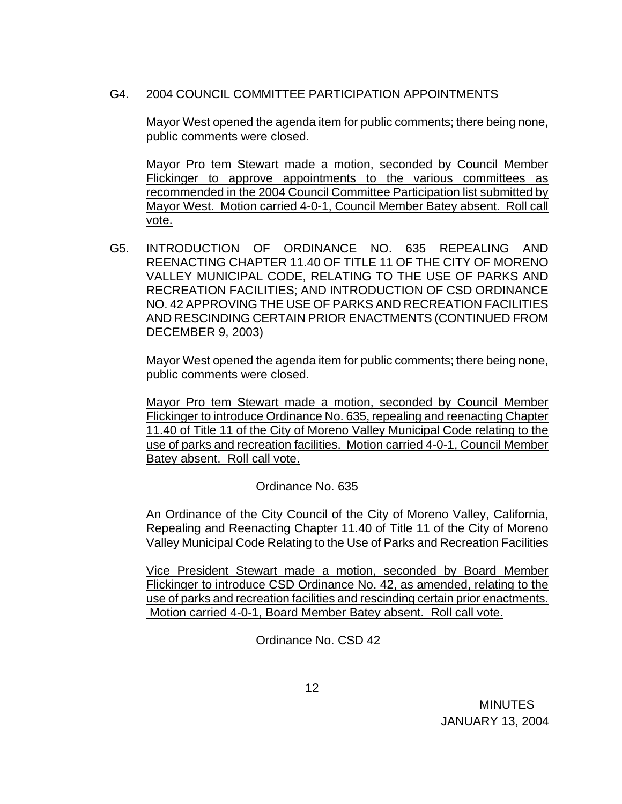## G4. 2004 COUNCIL COMMITTEE PARTICIPATION APPOINTMENTS

Mayor West opened the agenda item for public comments; there being none, public comments were closed.

Mayor Pro tem Stewart made a motion, seconded by Council Member Flickinger to approve appointments to the various committees as recommended in the 2004 Council Committee Participation list submitted by Mayor West. Motion carried 4-0-1, Council Member Batey absent. Roll call vote.

G5. INTRODUCTION OF ORDINANCE NO. 635 REPEALING AND REENACTING CHAPTER 11.40 OF TITLE 11 OF THE CITY OF MORENO VALLEY MUNICIPAL CODE, RELATING TO THE USE OF PARKS AND RECREATION FACILITIES; AND INTRODUCTION OF CSD ORDINANCE NO. 42 APPROVING THE USE OF PARKS AND RECREATION FACILITIES AND RESCINDING CERTAIN PRIOR ENACTMENTS (CONTINUED FROM DECEMBER 9, 2003)

Mayor West opened the agenda item for public comments; there being none, public comments were closed.

 Mayor Pro tem Stewart made a motion, seconded by Council Member Flickinger to introduce Ordinance No. 635, repealing and reenacting Chapter 11.40 of Title 11 of the City of Moreno Valley Municipal Code relating to the use of parks and recreation facilities. Motion carried 4-0-1, Council Member Batey absent. Roll call vote.

Ordinance No. 635

An Ordinance of the City Council of the City of Moreno Valley, California, Repealing and Reenacting Chapter 11.40 of Title 11 of the City of Moreno Valley Municipal Code Relating to the Use of Parks and Recreation Facilities

 Vice President Stewart made a motion, seconded by Board Member Flickinger to introduce CSD Ordinance No. 42, as amended, relating to the use of parks and recreation facilities and rescinding certain prior enactments. Motion carried 4-0-1, Board Member Batey absent. Roll call vote.

Ordinance No. CSD 42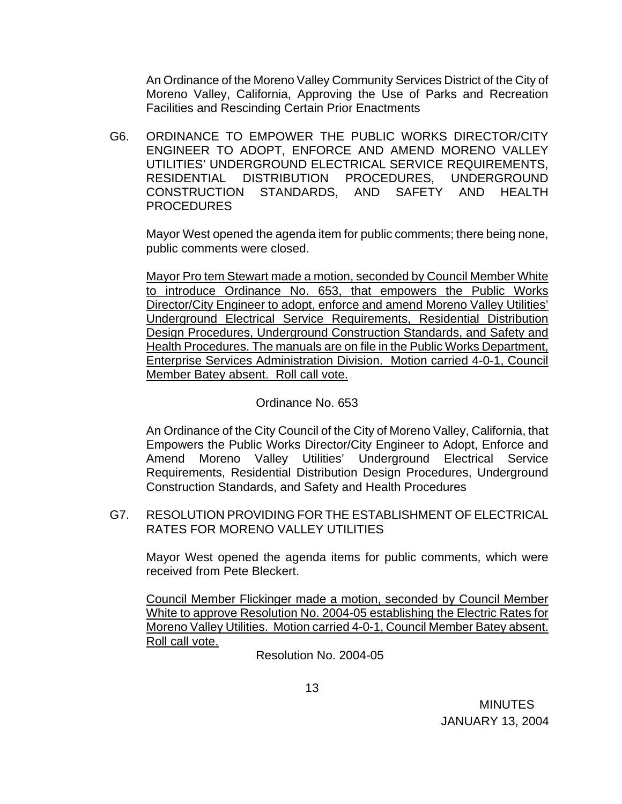An Ordinance of the Moreno Valley Community Services District of the City of Moreno Valley, California, Approving the Use of Parks and Recreation Facilities and Rescinding Certain Prior Enactments

G6. ORDINANCE TO EMPOWER THE PUBLIC WORKS DIRECTOR/CITY ENGINEER TO ADOPT, ENFORCE AND AMEND MORENO VALLEY UTILITIES' UNDERGROUND ELECTRICAL SERVICE REQUIREMENTS, RESIDENTIAL DISTRIBUTION PROCEDURES, UNDERGROUND CONSTRUCTION STANDARDS, AND SAFETY AND HEALTH PROCEDURES

Mayor West opened the agenda item for public comments; there being none, public comments were closed.

Mayor Pro tem Stewart made a motion, seconded by Council Member White to introduce Ordinance No. 653, that empowers the Public Works Director/City Engineer to adopt, enforce and amend Moreno Valley Utilities' Underground Electrical Service Requirements, Residential Distribution Design Procedures, Underground Construction Standards, and Safety and Health Procedures. The manuals are on file in the Public Works Department, Enterprise Services Administration Division. Motion carried 4-0-1, Council Member Batey absent. Roll call vote.

### Ordinance No. 653

 An Ordinance of the City Council of the City of Moreno Valley, California, that Empowers the Public Works Director/City Engineer to Adopt, Enforce and Amend Moreno Valley Utilities' Underground Electrical Service Requirements, Residential Distribution Design Procedures, Underground Construction Standards, and Safety and Health Procedures

G7. RESOLUTION PROVIDING FOR THE ESTABLISHMENT OF ELECTRICAL RATES FOR MORENO VALLEY UTILITIES

 Mayor West opened the agenda items for public comments, which were received from Pete Bleckert.

 Council Member Flickinger made a motion, seconded by Council Member White to approve Resolution No. 2004-05 establishing the Electric Rates for Moreno Valley Utilities. Motion carried 4-0-1, Council Member Batey absent. Roll call vote.

Resolution No. 2004-05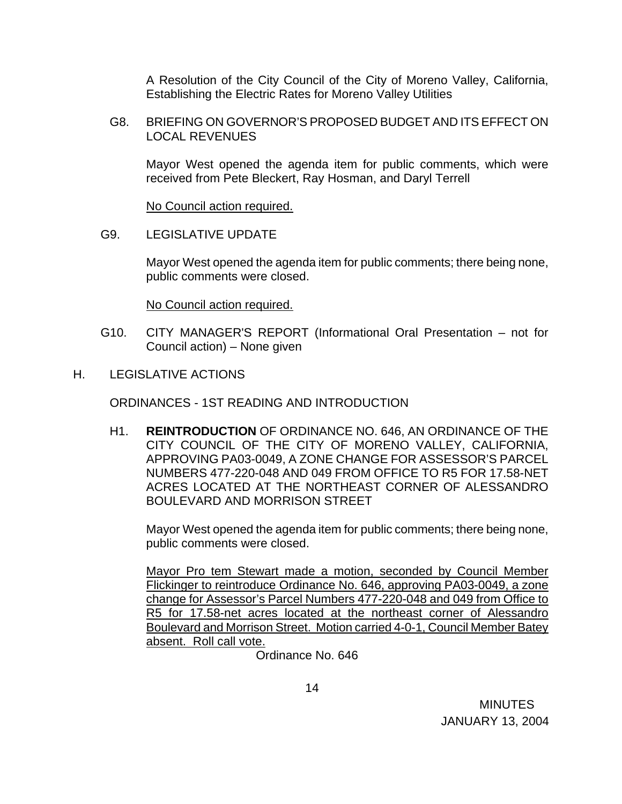A Resolution of the City Council of the City of Moreno Valley, California, Establishing the Electric Rates for Moreno Valley Utilities

 G8. BRIEFING ON GOVERNOR'S PROPOSED BUDGET AND ITS EFFECT ON LOCAL REVENUES

 Mayor West opened the agenda item for public comments, which were received from Pete Bleckert, Ray Hosman, and Daryl Terrell

No Council action required.

G9. LEGISLATIVE UPDATE

 Mayor West opened the agenda item for public comments; there being none, public comments were closed.

No Council action required.

- G10. CITY MANAGER'S REPORT (Informational Oral Presentation not for Council action) – None given
- H. LEGISLATIVE ACTIONS

ORDINANCES - 1ST READING AND INTRODUCTION

H1. **REINTRODUCTION** OF ORDINANCE NO. 646, AN ORDINANCE OF THE CITY COUNCIL OF THE CITY OF MORENO VALLEY, CALIFORNIA, APPROVING PA03-0049, A ZONE CHANGE FOR ASSESSOR'S PARCEL NUMBERS 477-220-048 AND 049 FROM OFFICE TO R5 FOR 17.58-NET ACRES LOCATED AT THE NORTHEAST CORNER OF ALESSANDRO BOULEVARD AND MORRISON STREET

 Mayor West opened the agenda item for public comments; there being none, public comments were closed.

 Mayor Pro tem Stewart made a motion, seconded by Council Member Flickinger to reintroduce Ordinance No. 646, approving PA03-0049, a zone change for Assessor's Parcel Numbers 477-220-048 and 049 from Office to R5 for 17.58-net acres located at the northeast corner of Alessandro Boulevard and Morrison Street. Motion carried 4-0-1, Council Member Batey absent. Roll call vote.

Ordinance No. 646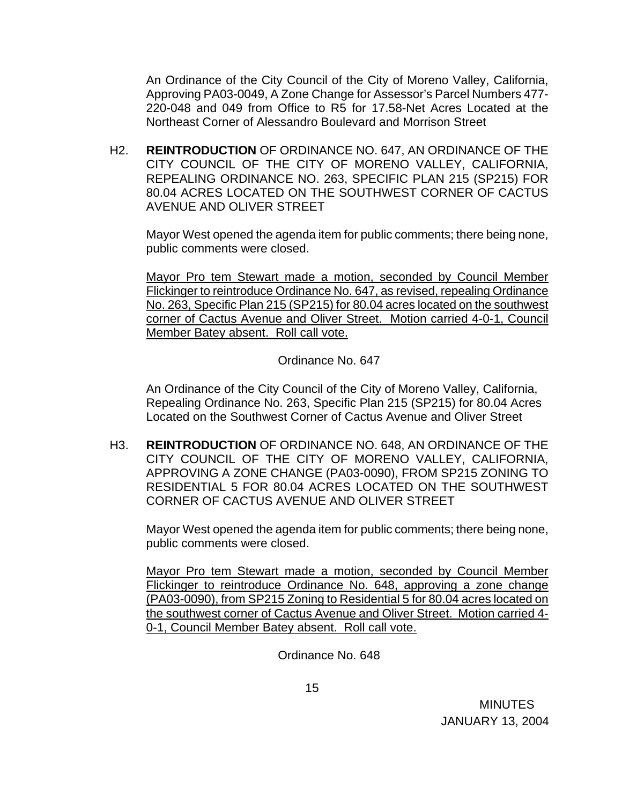An Ordinance of the City Council of the City of Moreno Valley, California, Approving PA03-0049, A Zone Change for Assessor's Parcel Numbers 477- 220-048 and 049 from Office to R5 for 17.58-Net Acres Located at the Northeast Corner of Alessandro Boulevard and Morrison Street

H2. **REINTRODUCTION** OF ORDINANCE NO. 647, AN ORDINANCE OF THE CITY COUNCIL OF THE CITY OF MORENO VALLEY, CALIFORNIA, REPEALING ORDINANCE NO. 263, SPECIFIC PLAN 215 (SP215) FOR 80.04 ACRES LOCATED ON THE SOUTHWEST CORNER OF CACTUS AVENUE AND OLIVER STREET

 Mayor West opened the agenda item for public comments; there being none, public comments were closed.

 Mayor Pro tem Stewart made a motion, seconded by Council Member Flickinger to reintroduce Ordinance No. 647, as revised, repealing Ordinance No. 263, Specific Plan 215 (SP215) for 80.04 acres located on the southwest corner of Cactus Avenue and Oliver Street. Motion carried 4-0-1, Council Member Batey absent. Roll call vote.

Ordinance No. 647

 An Ordinance of the City Council of the City of Moreno Valley, California, Repealing Ordinance No. 263, Specific Plan 215 (SP215) for 80.04 Acres Located on the Southwest Corner of Cactus Avenue and Oliver Street

H3. **REINTRODUCTION** OF ORDINANCE NO. 648, AN ORDINANCE OF THE CITY COUNCIL OF THE CITY OF MORENO VALLEY, CALIFORNIA, APPROVING A ZONE CHANGE (PA03-0090), FROM SP215 ZONING TO RESIDENTIAL 5 FOR 80.04 ACRES LOCATED ON THE SOUTHWEST CORNER OF CACTUS AVENUE AND OLIVER STREET

 Mayor West opened the agenda item for public comments; there being none, public comments were closed.

 Mayor Pro tem Stewart made a motion, seconded by Council Member Flickinger to reintroduce Ordinance No. 648, approving a zone change (PA03-0090), from SP215 Zoning to Residential 5 for 80.04 acres located on the southwest corner of Cactus Avenue and Oliver Street. Motion carried 4- 0-1, Council Member Batey absent. Roll call vote.

Ordinance No. 648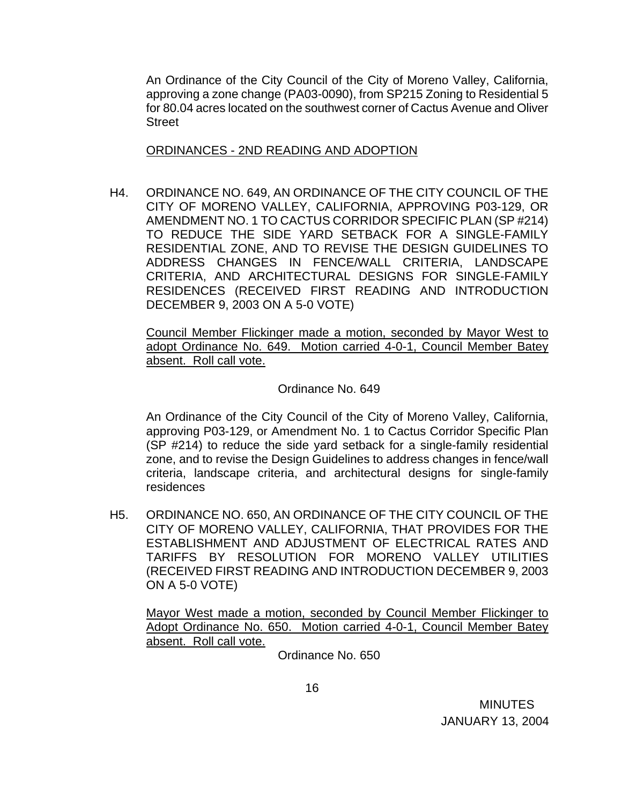An Ordinance of the City Council of the City of Moreno Valley, California, approving a zone change (PA03-0090), from SP215 Zoning to Residential 5 for 80.04 acres located on the southwest corner of Cactus Avenue and Oliver **Street** 

### ORDINANCES - 2ND READING AND ADOPTION

H4. ORDINANCE NO. 649, AN ORDINANCE OF THE CITY COUNCIL OF THE CITY OF MORENO VALLEY, CALIFORNIA, APPROVING P03-129, OR AMENDMENT NO. 1 TO CACTUS CORRIDOR SPECIFIC PLAN (SP #214) TO REDUCE THE SIDE YARD SETBACK FOR A SINGLE-FAMILY RESIDENTIAL ZONE, AND TO REVISE THE DESIGN GUIDELINES TO ADDRESS CHANGES IN FENCE/WALL CRITERIA, LANDSCAPE CRITERIA, AND ARCHITECTURAL DESIGNS FOR SINGLE-FAMILY RESIDENCES (RECEIVED FIRST READING AND INTRODUCTION DECEMBER 9, 2003 ON A 5-0 VOTE)

 Council Member Flickinger made a motion, seconded by Mayor West to adopt Ordinance No. 649. Motion carried 4-0-1, Council Member Batey absent. Roll call vote.

## Ordinance No. 649

 An Ordinance of the City Council of the City of Moreno Valley, California, approving P03-129, or Amendment No. 1 to Cactus Corridor Specific Plan (SP #214) to reduce the side yard setback for a single-family residential zone, and to revise the Design Guidelines to address changes in fence/wall criteria, landscape criteria, and architectural designs for single-family residences

H5. ORDINANCE NO. 650, AN ORDINANCE OF THE CITY COUNCIL OF THE CITY OF MORENO VALLEY, CALIFORNIA, THAT PROVIDES FOR THE ESTABLISHMENT AND ADJUSTMENT OF ELECTRICAL RATES AND TARIFFS BY RESOLUTION FOR MORENO VALLEY UTILITIES (RECEIVED FIRST READING AND INTRODUCTION DECEMBER 9, 2003 ON A 5-0 VOTE)

Mayor West made a motion, seconded by Council Member Flickinger to Adopt Ordinance No. 650. Motion carried 4-0-1, Council Member Batey absent. Roll call vote.

Ordinance No. 650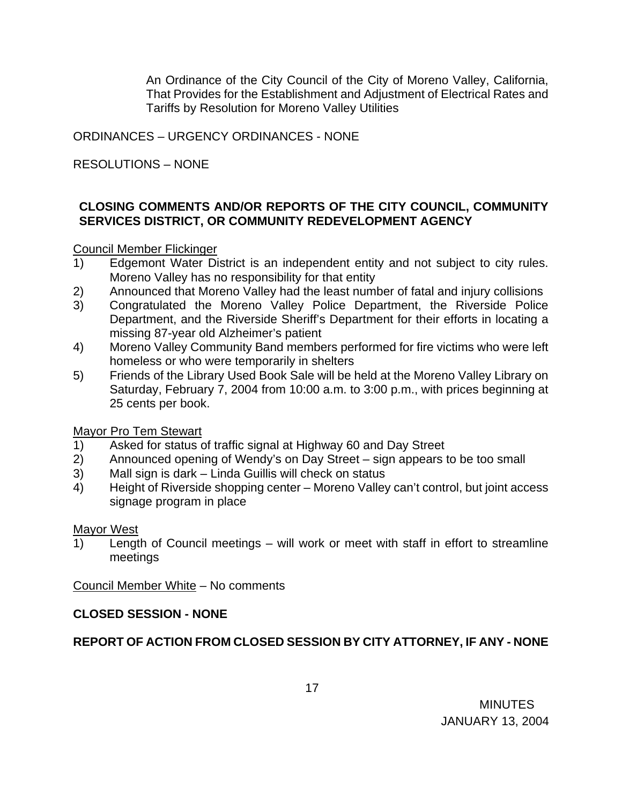An Ordinance of the City Council of the City of Moreno Valley, California, That Provides for the Establishment and Adjustment of Electrical Rates and Tariffs by Resolution for Moreno Valley Utilities

ORDINANCES – URGENCY ORDINANCES - NONE

RESOLUTIONS – NONE

## **CLOSING COMMENTS AND/OR REPORTS OF THE CITY COUNCIL, COMMUNITY SERVICES DISTRICT, OR COMMUNITY REDEVELOPMENT AGENCY**

Council Member Flickinger

- 1) Edgemont Water District is an independent entity and not subject to city rules. Moreno Valley has no responsibility for that entity
- 2) Announced that Moreno Valley had the least number of fatal and injury collisions
- 3) Congratulated the Moreno Valley Police Department, the Riverside Police Department, and the Riverside Sheriff's Department for their efforts in locating a missing 87-year old Alzheimer's patient
- 4) Moreno Valley Community Band members performed for fire victims who were left homeless or who were temporarily in shelters
- 5) Friends of the Library Used Book Sale will be held at the Moreno Valley Library on Saturday, February 7, 2004 from 10:00 a.m. to 3:00 p.m., with prices beginning at 25 cents per book.

Mayor Pro Tem Stewart

- 1) Asked for status of traffic signal at Highway 60 and Day Street
- 2) Announced opening of Wendy's on Day Street sign appears to be too small
- 3) Mall sign is dark Linda Guillis will check on status
- 4) Height of Riverside shopping center Moreno Valley can't control, but joint access signage program in place

Mayor West

1) Length of Council meetings – will work or meet with staff in effort to streamline meetings

Council Member White – No comments

## **CLOSED SESSION - NONE**

# **REPORT OF ACTION FROM CLOSED SESSION BY CITY ATTORNEY, IF ANY - NONE**

 MINUTES JANUARY 13, 2004